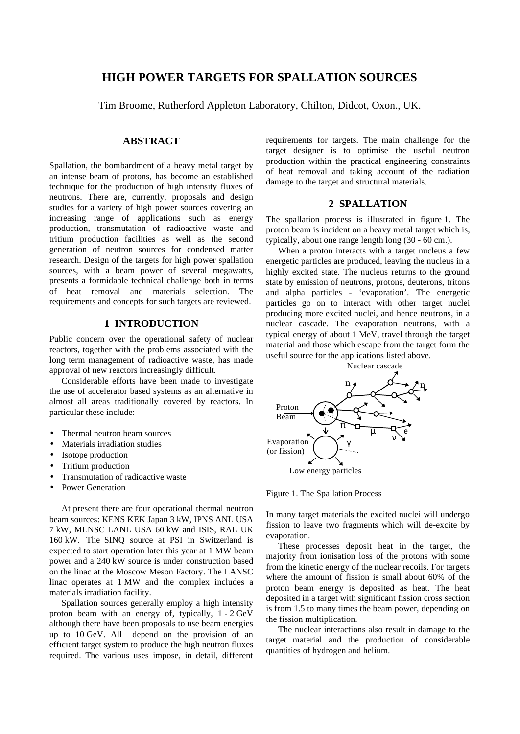# **HIGH POWER TARGETS FOR SPALLATION SOURCES**

Tim Broome, Rutherford Appleton Laboratory, Chilton, Didcot, Oxon., UK.

# **ABSTRACT**

Spallation, the bombardment of a heavy metal target by an intense beam of protons, has become an established technique for the production of high intensity fluxes of neutrons. There are, currently, proposals and design studies for a variety of high power sources covering an increasing range of applications such as energy production, transmutation of radioactive waste and tritium production facilities as well as the second generation of neutron sources for condensed matter research. Design of the targets for high power spallation sources, with a beam power of several megawatts, presents a formidable technical challenge both in terms of heat removal and materials selection. The requirements and concepts for such targets are reviewed.

## **1 INTRODUCTION**

Public concern over the operational safety of nuclear reactors, together with the problems associated with the long term management of radioactive waste, has made approval of new reactors increasingly difficult.

Considerable efforts have been made to investigate the use of accelerator based systems as an alternative in almost all areas traditionally covered by reactors. In particular these include:

- Thermal neutron beam sources
- Materials irradiation studies
- Isotope production
- Tritium production
- Transmutation of radioactive waste
- Power Generation

At present there are four operational thermal neutron beam sources: KENS KEK Japan 3 kW, IPNS ANL USA 7 kW, MLNSC LANL USA 60 kW and ISIS, RAL UK 160 kW. The SINQ source at PSI in Switzerland is expected to start operation later this year at 1 MW beam power and a 240 kW source is under construction based on the linac at the Moscow Meson Factory. The LANSC linac operates at 1 MW and the complex includes a materials irradiation facility.

Spallation sources generally employ a high intensity proton beam with an energy of, typically, 1 - 2 GeV although there have been proposals to use beam energies up to 10 GeV. All depend on the provision of an efficient target system to produce the high neutron fluxes required. The various uses impose, in detail, different

requirements for targets. The main challenge for the target designer is to optimise the useful neutron production within the practical engineering constraints of heat removal and taking account of the radiation damage to the target and structural materials.

#### **2 SPALLATION**

The spallation process is illustrated in figure 1. The proton beam is incident on a heavy metal target which is, typically, about one range length long (30 - 60 cm.).

When a proton interacts with a target nucleus a few energetic particles are produced, leaving the nucleus in a highly excited state. The nucleus returns to the ground state by emission of neutrons, protons, deuterons, tritons and alpha particles - 'evaporation'. The energetic particles go on to interact with other target nuclei producing more excited nuclei, and hence neutrons, in a nuclear cascade. The evaporation neutrons, with a typical energy of about 1 MeV, travel through the target material and those which escape from the target form the useful source for the applications listed above.



Figure 1. The Spallation Process

In many target materials the excited nuclei will undergo fission to leave two fragments which will de-excite by evaporation.

These processes deposit heat in the target, the majority from ionisation loss of the protons with some from the kinetic energy of the nuclear recoils. For targets where the amount of fission is small about 60% of the proton beam energy is deposited as heat. The heat deposited in a target with significant fission cross section is from 1.5 to many times the beam power, depending on the fission multiplication.

The nuclear interactions also result in damage to the target material and the production of considerable quantities of hydrogen and helium.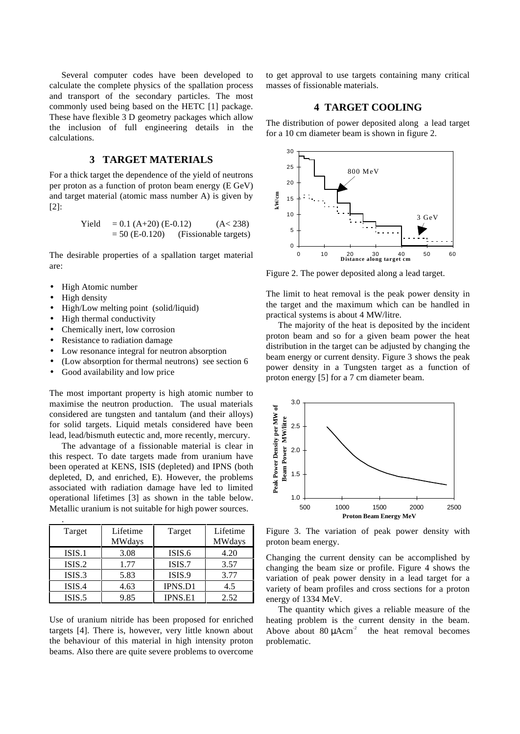Several computer codes have been developed to calculate the complete physics of the spallation process and transport of the secondary particles. The most commonly used being based on the HETC [1] package. These have flexible 3 D geometry packages which allow the inclusion of full engineering details in the calculations.

# **3 TARGET MATERIALS**

For a thick target the dependence of the yield of neutrons per proton as a function of proton beam energy (E GeV) and target material (atomic mass number A) is given by [2]:

$$
Yield = 0.1 (A+20) (E-0.12) (A < 238)
$$
  
= 50 (E-0.120) (Fissionable targets)

The desirable properties of a spallation target material are:

- High Atomic number
- High density

.

- High/Low melting point (solid/liquid)
- High thermal conductivity
- Chemically inert, low corrosion
- Resistance to radiation damage
- Low resonance integral for neutron absorption
- (Low absorption for thermal neutrons) see section 6
- Good availability and low price

The most important property is high atomic number to maximise the neutron production. The usual materials considered are tungsten and tantalum (and their alloys) for solid targets. Liquid metals considered have been lead, lead/bismuth eutectic and, more recently, mercury.

The advantage of a fissionable material is clear in this respect. To date targets made from uranium have been operated at KENS, ISIS (depleted) and IPNS (both depleted, D, and enriched, E). However, the problems associated with radiation damage have led to limited operational lifetimes [3] as shown in the table below. Metallic uranium is not suitable for high power sources.

| Target | Lifetime<br><b>MWdays</b> | Target         | Lifetime<br><b>MWdays</b> |
|--------|---------------------------|----------------|---------------------------|
| ISIS.1 | 3.08                      | ISIS.6         | 4.20                      |
| ISIS.2 | 1.77                      | ISIS.7         | 3.57                      |
| ISIS.3 | 5.83                      | ISIS.9         | 3.77                      |
| ISIS.4 | 4.63                      | <b>IPNS.D1</b> | 4.5                       |
| ISIS.5 | 9.85                      | IPNS.E1        | 2.52                      |

Use of uranium nitride has been proposed for enriched targets [4]. There is, however, very little known about the behaviour of this material in high intensity proton beams. Also there are quite severe problems to overcome

to get approval to use targets containing many critical masses of fissionable materials.

### **4 TARGET COOLING**

The distribution of power deposited along a lead target for a 10 cm diameter beam is shown in figure 2.



Figure 2. The power deposited along a lead target.

The limit to heat removal is the peak power density in the target and the maximum which can be handled in practical systems is about 4 MW/litre.

The majority of the heat is deposited by the incident proton beam and so for a given beam power the heat distribution in the target can be adjusted by changing the beam energy or current density. Figure 3 shows the peak power density in a Tungsten target as a function of proton energy [5] for a 7 cm diameter beam.



Figure 3. The variation of peak power density with proton beam energy.

Changing the current density can be accomplished by changing the beam size or profile. Figure 4 shows the variation of peak power density in a lead target for a variety of beam profiles and cross sections for a proton energy of 1334 MeV.

The quantity which gives a reliable measure of the heating problem is the current density in the beam. Above about  $80 \mu \text{Acm}^2$  the heat removal becomes problematic.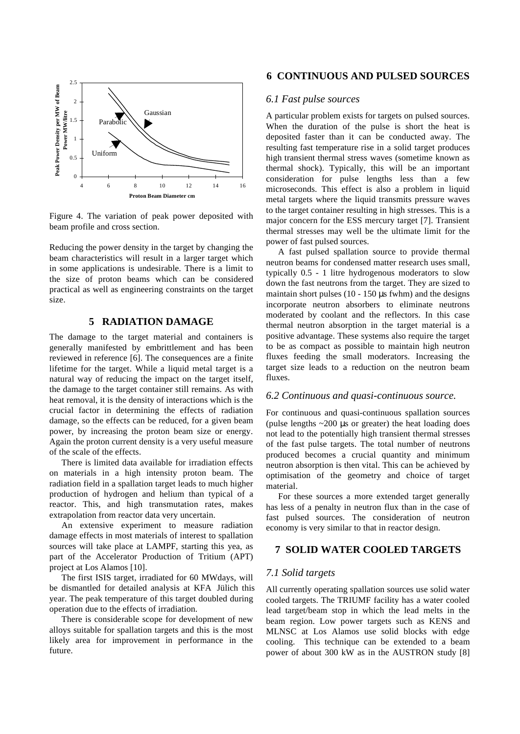

Figure 4. The variation of peak power deposited with beam profile and cross section.

Reducing the power density in the target by changing the beam characteristics will result in a larger target which in some applications is undesirable. There is a limit to the size of proton beams which can be considered practical as well as engineering constraints on the target size.

# **5 RADIATION DAMAGE**

The damage to the target material and containers is generally manifested by embrittlement and has been reviewed in reference [6]. The consequences are a finite lifetime for the target. While a liquid metal target is a natural way of reducing the impact on the target itself, the damage to the target container still remains. As with heat removal, it is the density of interactions which is the crucial factor in determining the effects of radiation damage, so the effects can be reduced, for a given beam power, by increasing the proton beam size or energy. Again the proton current density is a very useful measure of the scale of the effects.

There is limited data available for irradiation effects on materials in a high intensity proton beam. The radiation field in a spallation target leads to much higher production of hydrogen and helium than typical of a reactor. This, and high transmutation rates, makes extrapolation from reactor data very uncertain.

An extensive experiment to measure radiation damage effects in most materials of interest to spallation sources will take place at LAMPF, starting this yea, as part of the Accelerator Production of Tritium (APT) project at Los Alamos [10].

The first ISIS target, irradiated for 60 MWdays, will be dismantled for detailed analysis at KFA Jülich this year. The peak temperature of this target doubled during operation due to the effects of irradiation.

There is considerable scope for development of new alloys suitable for spallation targets and this is the most likely area for improvement in performance in the future.

### **6 CONTINUOUS AND PULSED SOURCES**

#### *6.1 Fast pulse sources*

A particular problem exists for targets on pulsed sources. When the duration of the pulse is short the heat is deposited faster than it can be conducted away. The resulting fast temperature rise in a solid target produces high transient thermal stress waves (sometime known as thermal shock). Typically, this will be an important consideration for pulse lengths less than a few microseconds. This effect is also a problem in liquid metal targets where the liquid transmits pressure waves to the target container resulting in high stresses. This is a major concern for the ESS mercury target [7]. Transient thermal stresses may well be the ultimate limit for the power of fast pulsed sources.

A fast pulsed spallation source to provide thermal neutron beams for condensed matter research uses small, typically 0.5 - 1 litre hydrogenous moderators to slow down the fast neutrons from the target. They are sized to maintain short pulses  $(10 - 150 \,\mu s \,$  fwhm) and the designs incorporate neutron absorbers to eliminate neutrons moderated by coolant and the reflectors. In this case thermal neutron absorption in the target material is a positive advantage. These systems also require the target to be as compact as possible to maintain high neutron fluxes feeding the small moderators. Increasing the target size leads to a reduction on the neutron beam fluxes.

### *6.2 Continuous and quasi-continuous source.*

For continuous and quasi-continuous spallation sources (pulse lengths  $\sim$ 200 µs or greater) the heat loading does not lead to the potentially high transient thermal stresses of the fast pulse targets. The total number of neutrons produced becomes a crucial quantity and minimum neutron absorption is then vital. This can be achieved by optimisation of the geometry and choice of target material.

For these sources a more extended target generally has less of a penalty in neutron flux than in the case of fast pulsed sources. The consideration of neutron economy is very similar to that in reactor design.

# **7 SOLID WATER COOLED TARGETS**

## *7.1 Solid targets*

All currently operating spallation sources use solid water cooled targets. The TRIUMF facility has a water cooled lead target/beam stop in which the lead melts in the beam region. Low power targets such as KENS and MLNSC at Los Alamos use solid blocks with edge cooling. This technique can be extended to a beam power of about 300 kW as in the AUSTRON study [8]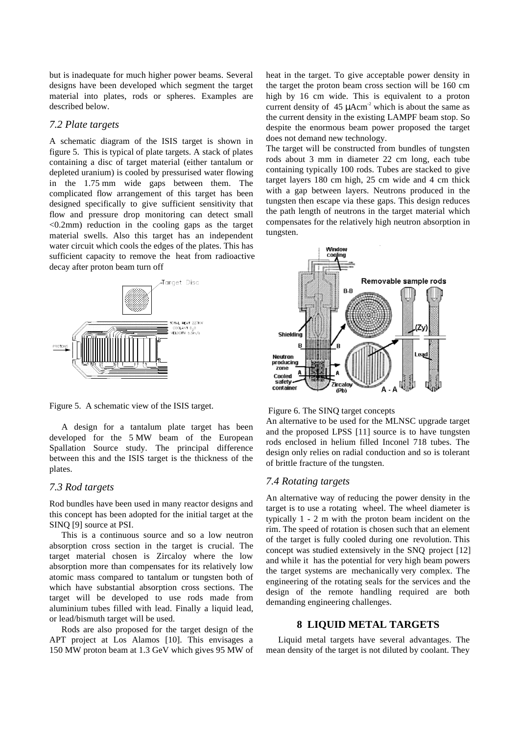but is inadequate for much higher power beams. Several designs have been developed which segment the target material into plates, rods or spheres. Examples are described below.

#### *7.2 Plate targets*

A schematic diagram of the ISIS target is shown in figure 5. This is typical of plate targets. A stack of plates containing a disc of target material (either tantalum or depleted uranium) is cooled by pressurised water flowing in the 1.75 mm wide gaps between them. The complicated flow arrangement of this target has been designed specifically to give sufficient sensitivity that flow and pressure drop monitoring can detect small  $\leq 0.2$ mm) reduction in the cooling gaps as the target material swells. Also this target has an independent water circuit which cools the edges of the plates. This has sufficient capacity to remove the heat from radioactive decay after proton beam turn off



Figure 5. A schematic view of the ISIS target.

A design for a tantalum plate target has been developed for the 5 MW beam of the European Spallation Source study. The principal difference between this and the ISIS target is the thickness of the plates.

#### *7.3 Rod targets*

Rod bundles have been used in many reactor designs and this concept has been adopted for the initial target at the SINQ [9] source at PSI.

This is a continuous source and so a low neutron absorption cross section in the target is crucial. The target material chosen is Zircaloy where the low absorption more than compensates for its relatively low atomic mass compared to tantalum or tungsten both of which have substantial absorption cross sections. The target will be developed to use rods made from aluminium tubes filled with lead. Finally a liquid lead, or lead/bismuth target will be used.

Rods are also proposed for the target design of the APT project at Los Alamos [10]. This envisages a 150 MW proton beam at 1.3 GeV which gives 95 MW of heat in the target. To give acceptable power density in the target the proton beam cross section will be 160 cm high by 16 cm wide. This is equivalent to a proton current density of  $45 \mu \text{Acm}^2$  which is about the same as the current density in the existing LAMPF beam stop. So despite the enormous beam power proposed the target does not demand new technology.

The target will be constructed from bundles of tungsten rods about 3 mm in diameter 22 cm long, each tube containing typically 100 rods. Tubes are stacked to give target layers 180 cm high, 25 cm wide and 4 cm thick with a gap between layers. Neutrons produced in the tungsten then escape via these gaps. This design reduces the path length of neutrons in the target material which compensates for the relatively high neutron absorption in tungsten.



Figure 6. The SINQ target concepts

An alternative to be used for the MLNSC upgrade target and the proposed LPSS [11] source is to have tungsten rods enclosed in helium filled Inconel 718 tubes. The design only relies on radial conduction and so is tolerant of brittle fracture of the tungsten.

### *7.4 Rotating targets*

An alternative way of reducing the power density in the target is to use a rotating wheel. The wheel diameter is typically 1 - 2 m with the proton beam incident on the rim. The speed of rotation is chosen such that an element of the target is fully cooled during one revolution. This concept was studied extensively in the SNQ project [12] and while it has the potential for very high beam powers the target systems are mechanically very complex. The engineering of the rotating seals for the services and the design of the remote handling required are both demanding engineering challenges.

## **8 LIQUID METAL TARGETS**

Liquid metal targets have several advantages. The mean density of the target is not diluted by coolant. They